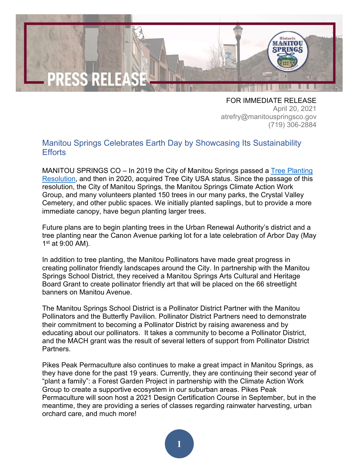

FOR IMMEDIATE RELEASE April 20, 2021 atrefry@manitouspringsco.gov (719) 306-2884

## Manitou Springs Celebrates Earth Day by Showcasing Its Sustainability **Efforts**

MANITOU SPRINGS CO – In 2019 the City of Manitou Springs passed a Tree Planting [Resolution,](https://manitouspringscityco.documents-on-demand.com/document/7c91a3f0-07e6-e911-a2d3-000c29a59557/Resolution%202019%20(Tree%20Planting).PDF) and then in 2020, acquired Tree City USA status. Since the passage of this resolution, the City of Manitou Springs, the Manitou Springs Climate Action Work Group, and many volunteers planted 150 trees in our many parks, the Crystal Valley Cemetery, and other public spaces. We initially planted saplings, but to provide a more immediate canopy, have begun planting larger trees.

Future plans are to begin planting trees in the Urban Renewal Authority's district and a tree planting near the Canon Avenue parking lot for a late celebration of Arbor Day (May 1st at 9:00 AM).

In addition to tree planting, the Manitou Pollinators have made great progress in creating pollinator friendly landscapes around the City. In partnership with the Manitou Springs School District, they received a Manitou Springs Arts Cultural and Heritage Board Grant to create pollinator friendly art that will be placed on the 66 streetlight banners on Manitou Avenue.

The Manitou Springs School District is a Pollinator District Partner with the Manitou Pollinators and the Butterfly Pavilion. Pollinator District Partners need to demonstrate their commitment to becoming a Pollinator District by raising awareness and by educating about our pollinators. It takes a community to become a Pollinator District, and the MACH grant was the result of several letters of support from Pollinator District Partners.

Pikes Peak Permaculture also continues to make a great impact in Manitou Springs, as they have done for the past 19 years. Currently, they are continuing their second year of "plant a family": a Forest Garden Project in partnership with the Climate Action Work Group to create a supportive ecosystem in our suburban areas. Pikes Peak Permaculture will soon host a 2021 Design Certification Course in September, but in the meantime, they are providing a series of classes regarding rainwater harvesting, urban orchard care, and much more!